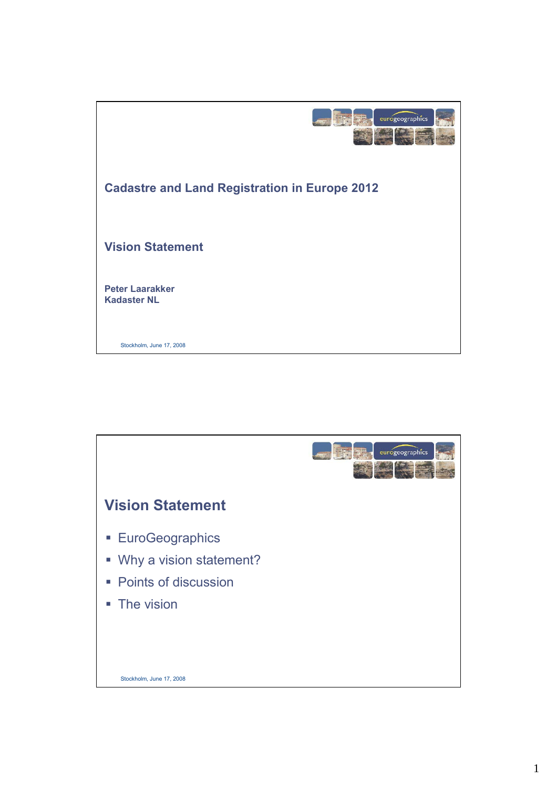

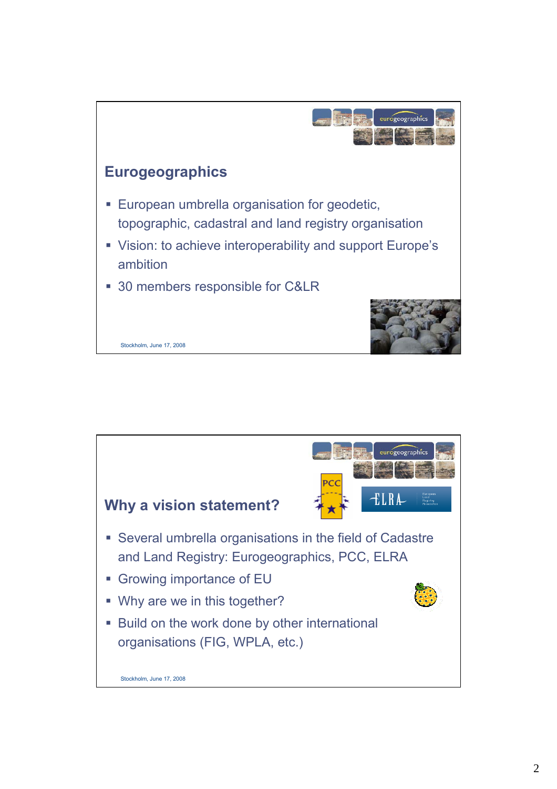

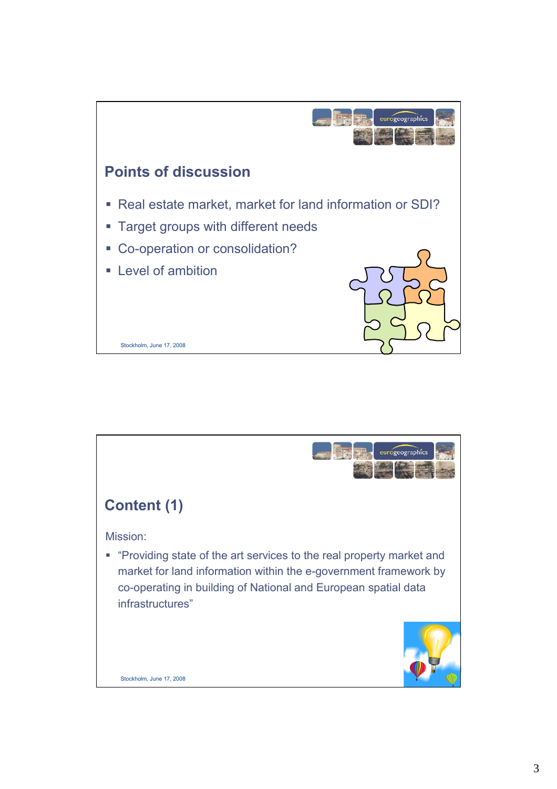

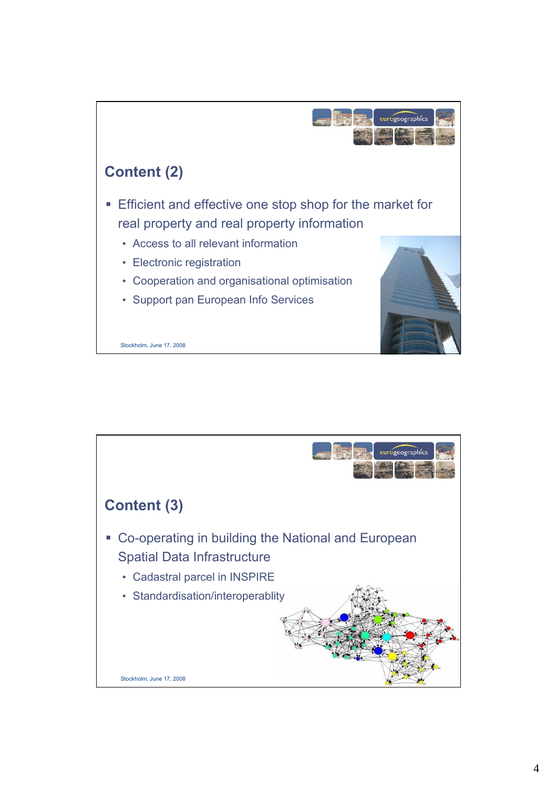

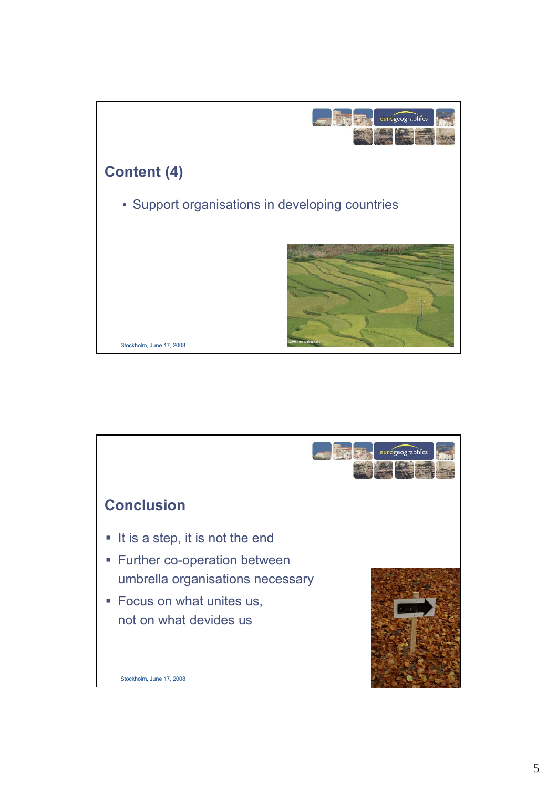